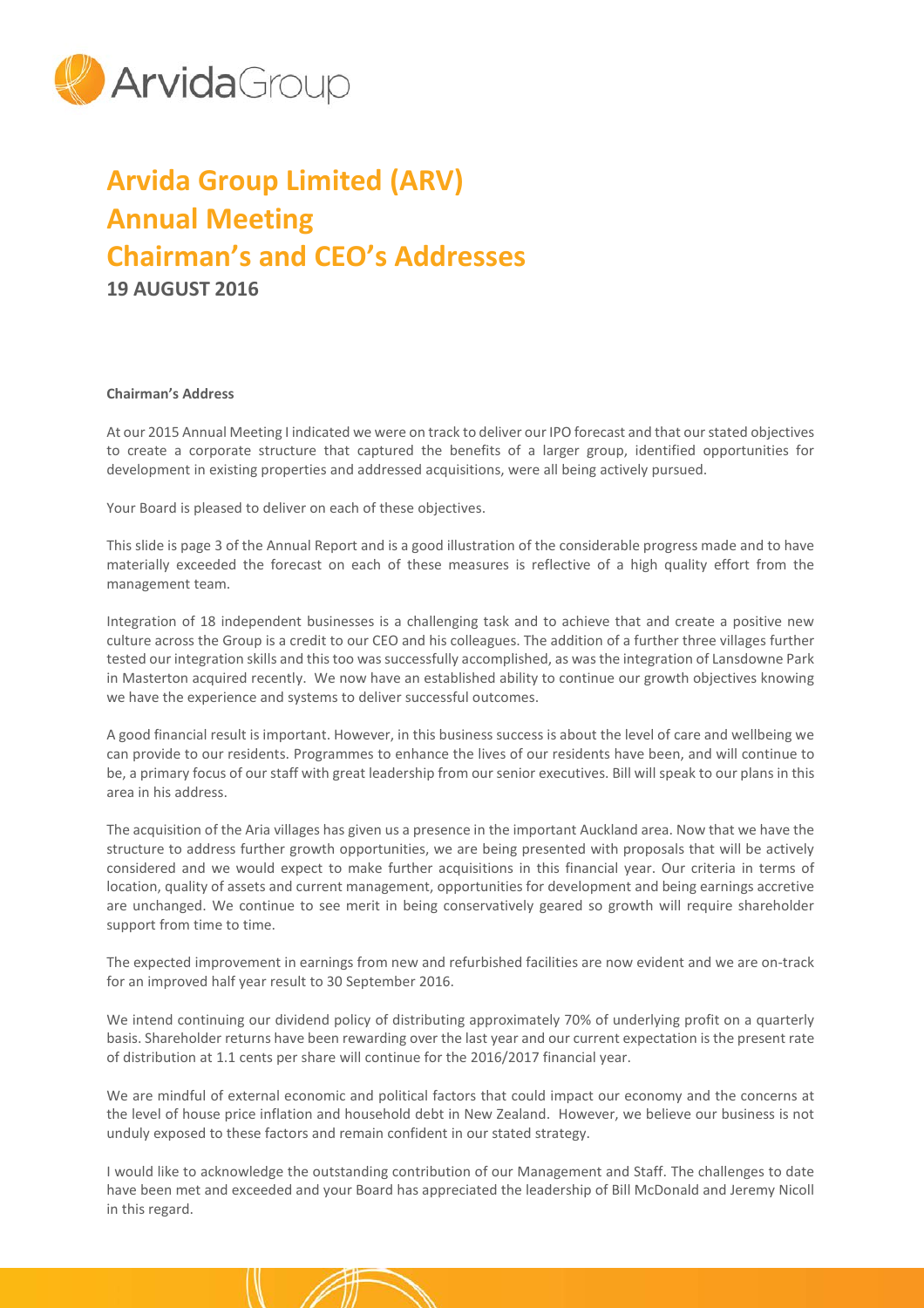

# **Arvida Group Limited (ARV) Annual Meeting Chairman's and CEO's Addresses 19 AUGUST 2016**

## **Chairman's Address**

At our 2015 Annual Meeting I indicated we were on track to deliver our IPO forecast and that our stated objectives to create a corporate structure that captured the benefits of a larger group, identified opportunities for development in existing properties and addressed acquisitions, were all being actively pursued.

Your Board is pleased to deliver on each of these objectives.

This slide is page 3 of the Annual Report and is a good illustration of the considerable progress made and to have materially exceeded the forecast on each of these measures is reflective of a high quality effort from the management team.

Integration of 18 independent businesses is a challenging task and to achieve that and create a positive new culture across the Group is a credit to our CEO and his colleagues. The addition of a further three villages further tested our integration skills and this too was successfully accomplished, as was the integration of Lansdowne Park in Masterton acquired recently. We now have an established ability to continue our growth objectives knowing we have the experience and systems to deliver successful outcomes.

A good financial result is important. However, in this business success is about the level of care and wellbeing we can provide to our residents. Programmes to enhance the lives of our residents have been, and will continue to be, a primary focus of our staff with great leadership from our senior executives. Bill will speak to our plans in this area in his address.

The acquisition of the Aria villages has given us a presence in the important Auckland area. Now that we have the structure to address further growth opportunities, we are being presented with proposals that will be actively considered and we would expect to make further acquisitions in this financial year. Our criteria in terms of location, quality of assets and current management, opportunities for development and being earnings accretive are unchanged. We continue to see merit in being conservatively geared so growth will require shareholder support from time to time.

The expected improvement in earnings from new and refurbished facilities are now evident and we are on-track for an improved half year result to 30 September 2016.

We intend continuing our dividend policy of distributing approximately 70% of underlying profit on a quarterly basis. Shareholder returns have been rewarding over the last year and our current expectation is the present rate of distribution at 1.1 cents per share will continue for the 2016/2017 financial year.

We are mindful of external economic and political factors that could impact our economy and the concerns at the level of house price inflation and household debt in New Zealand. However, we believe our business is not unduly exposed to these factors and remain confident in our stated strategy.

I would like to acknowledge the outstanding contribution of our Management and Staff. The challenges to date have been met and exceeded and your Board has appreciated the leadership of Bill McDonald and Jeremy Nicoll in this regard.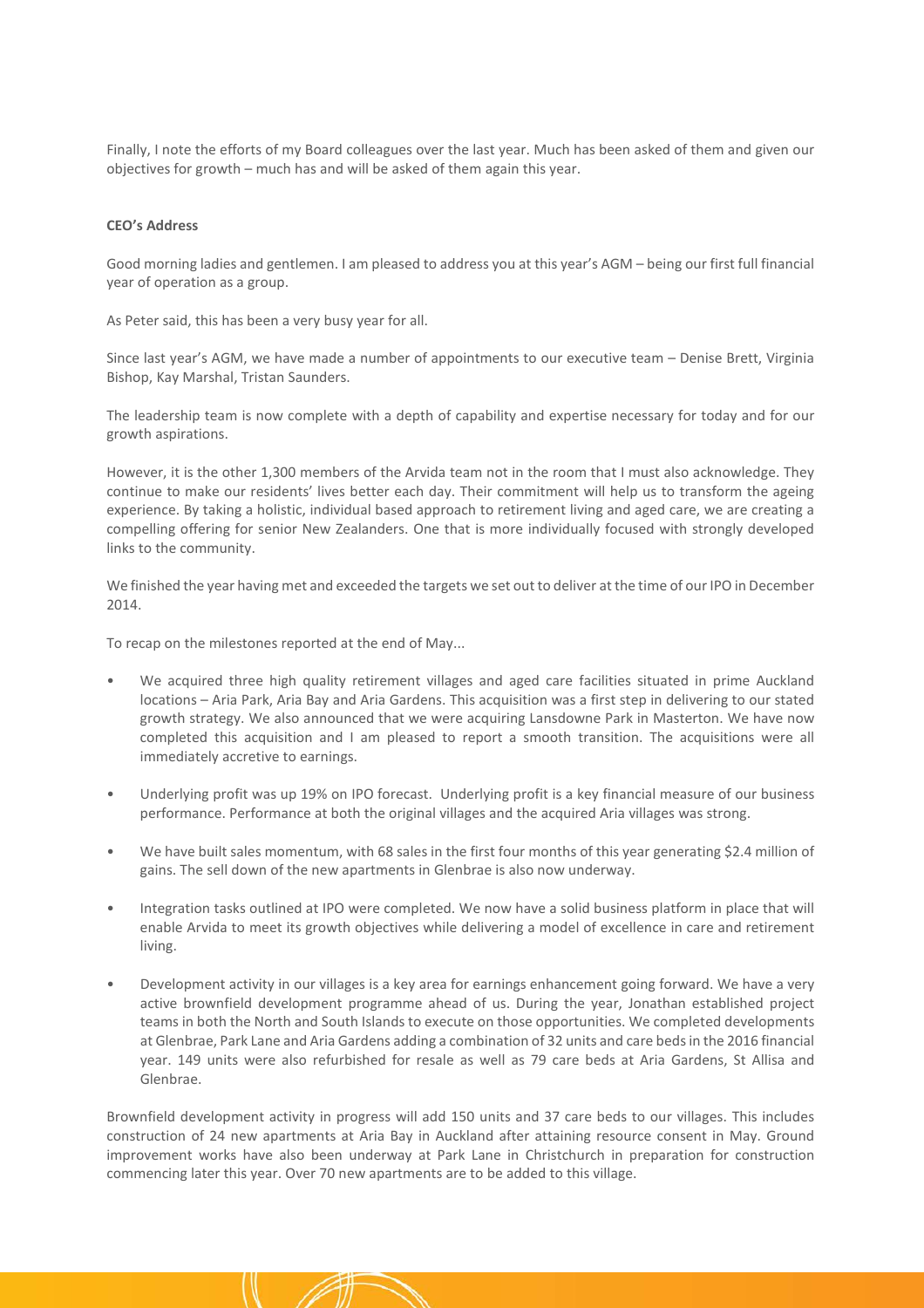Finally, I note the efforts of my Board colleagues over the last year. Much has been asked of them and given our objectives for growth – much has and will be asked of them again this year.

## **CEO's Address**

Good morning ladies and gentlemen. I am pleased to address you at this year's AGM – being our first full financial year of operation as a group.

As Peter said, this has been a very busy year for all.

Since last year's AGM, we have made a number of appointments to our executive team – Denise Brett, Virginia Bishop, Kay Marshal, Tristan Saunders.

The leadership team is now complete with a depth of capability and expertise necessary for today and for our growth aspirations.

However, it is the other 1,300 members of the Arvida team not in the room that I must also acknowledge. They continue to make our residents' lives better each day. Their commitment will help us to transform the ageing experience. By taking a holistic, individual based approach to retirement living and aged care, we are creating a compelling offering for senior New Zealanders. One that is more individually focused with strongly developed links to the community.

We finished the year having met and exceeded the targets we set out to deliver at the time of our IPO in December 2014.

To recap on the milestones reported at the end of May...

- We acquired three high quality retirement villages and aged care facilities situated in prime Auckland locations – Aria Park, Aria Bay and Aria Gardens. This acquisition was a first step in delivering to our stated growth strategy. We also announced that we were acquiring Lansdowne Park in Masterton. We have now completed this acquisition and I am pleased to report a smooth transition. The acquisitions were all immediately accretive to earnings.
- Underlying profit was up 19% on IPO forecast. Underlying profit is a key financial measure of our business performance. Performance at both the original villages and the acquired Aria villages was strong.
- We have built sales momentum, with 68 sales in the first four months of this year generating \$2.4 million of gains. The sell down of the new apartments in Glenbrae is also now underway.
- Integration tasks outlined at IPO were completed. We now have a solid business platform in place that will enable Arvida to meet its growth objectives while delivering a model of excellence in care and retirement living.
- Development activity in our villages is a key area for earnings enhancement going forward. We have a very active brownfield development programme ahead of us. During the year, Jonathan established project teams in both the North and South Islands to execute on those opportunities. We completed developments at Glenbrae, Park Lane and Aria Gardens adding a combination of 32 units and care beds in the 2016 financial year. 149 units were also refurbished for resale as well as 79 care beds at Aria Gardens, St Allisa and Glenbrae.

Brownfield development activity in progress will add 150 units and 37 care beds to our villages. This includes construction of 24 new apartments at Aria Bay in Auckland after attaining resource consent in May. Ground improvement works have also been underway at Park Lane in Christchurch in preparation for construction commencing later this year. Over 70 new apartments are to be added to this village.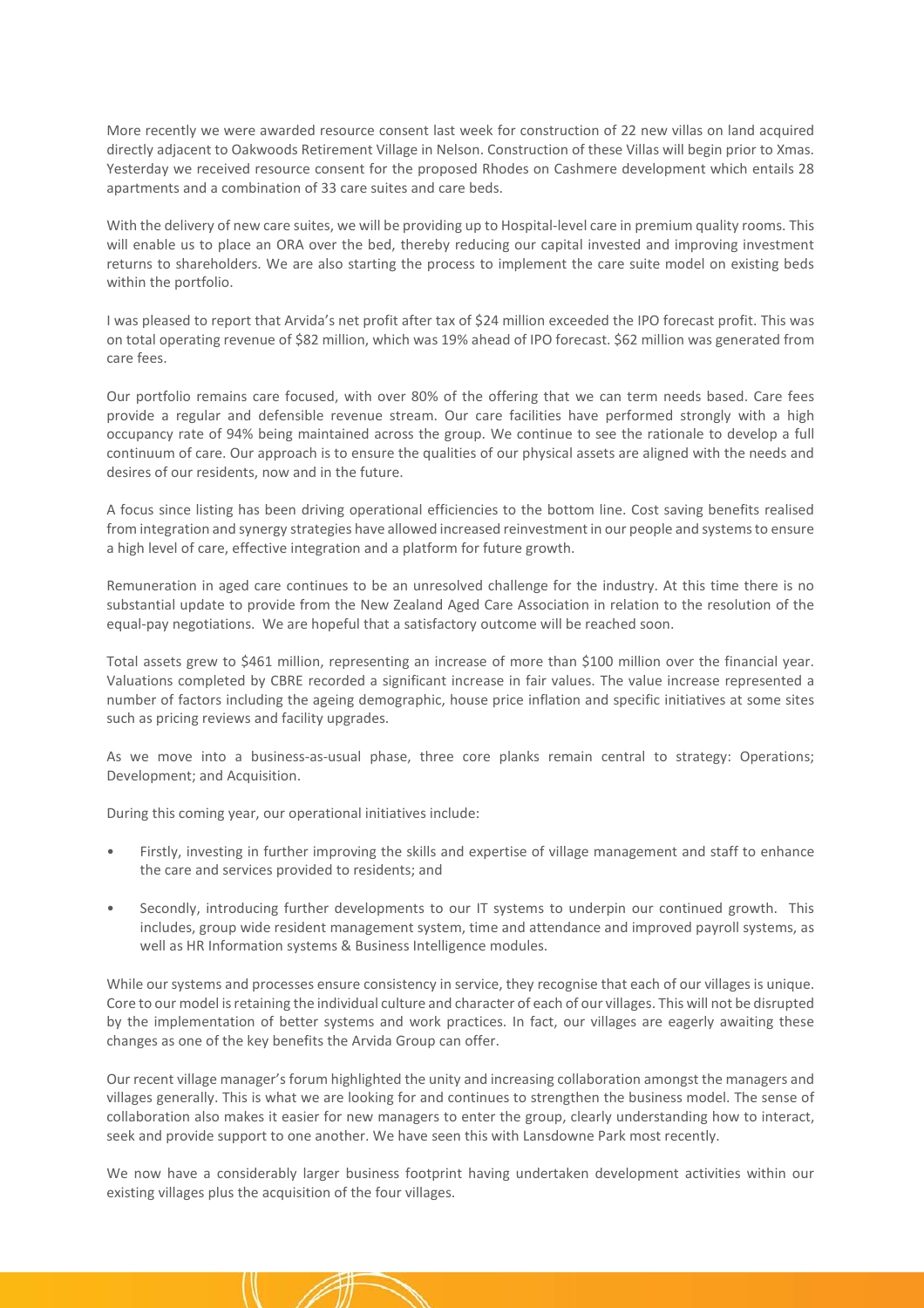More recently we were awarded resource consent last week for construction of 22 new villas on land acquired directly adjacent to Oakwoods Retirement Village in Nelson. Construction of these Villas will begin prior to Xmas. Yesterday we received resource consent for the proposed Rhodes on Cashmere development which entails 28 apartments and a combination of 33 care suites and care beds.

With the delivery of new care suites, we will be providing up to Hospital-level care in premium quality rooms. This will enable us to place an ORA over the bed, thereby reducing our capital invested and improving investment returns to shareholders. We are also starting the process to implement the care suite model on existing beds within the portfolio.

I was pleased to report that Arvida's net profit after tax of \$24 million exceeded the IPO forecast profit. This was on total operating revenue of \$82 million, which was 19% ahead of IPO forecast. \$62 million was generated from care fees.

Our portfolio remains care focused, with over 80% of the offering that we can term needs based. Care fees provide a regular and defensible revenue stream. Our care facilities have performed strongly with a high occupancy rate of 94% being maintained across the group. We continue to see the rationale to develop a full continuum of care. Our approach is to ensure the qualities of our physical assets are aligned with the needs and desires of our residents, now and in the future.

A focus since listing has been driving operational efficiencies to the bottom line. Cost saving benefits realised from integration and synergy strategies have allowed increased reinvestment in our people and systems to ensure a high level of care, effective integration and a platform for future growth.

Remuneration in aged care continues to be an unresolved challenge for the industry. At this time there is no substantial update to provide from the New Zealand Aged Care Association in relation to the resolution of the equal-pay negotiations. We are hopeful that a satisfactory outcome will be reached soon.

Total assets grew to \$461 million, representing an increase of more than \$100 million over the financial year. Valuations completed by CBRE recorded a significant increase in fair values. The value increase represented a number of factors including the ageing demographic, house price inflation and specific initiatives at some sites such as pricing reviews and facility upgrades.

As we move into a business-as-usual phase, three core planks remain central to strategy: Operations; Development; and Acquisition.

During this coming year, our operational initiatives include:

- Firstly, investing in further improving the skills and expertise of village management and staff to enhance the care and services provided to residents; and
- Secondly, introducing further developments to our IT systems to underpin our continued growth. This includes, group wide resident management system, time and attendance and improved payroll systems, as well as HR Information systems & Business Intelligence modules.

While our systems and processes ensure consistency in service, they recognise that each of our villages is unique. Core to our model is retaining the individual culture and character of each of our villages. This will not be disrupted by the implementation of better systems and work practices. In fact, our villages are eagerly awaiting these changes as one of the key benefits the Arvida Group can offer.

Our recent village manager's forum highlighted the unity and increasing collaboration amongst the managers and villages generally. This is what we are looking for and continues to strengthen the business model. The sense of collaboration also makes it easier for new managers to enter the group, clearly understanding how to interact, seek and provide support to one another. We have seen this with Lansdowne Park most recently.

We now have a considerably larger business footprint having undertaken development activities within our existing villages plus the acquisition of the four villages.